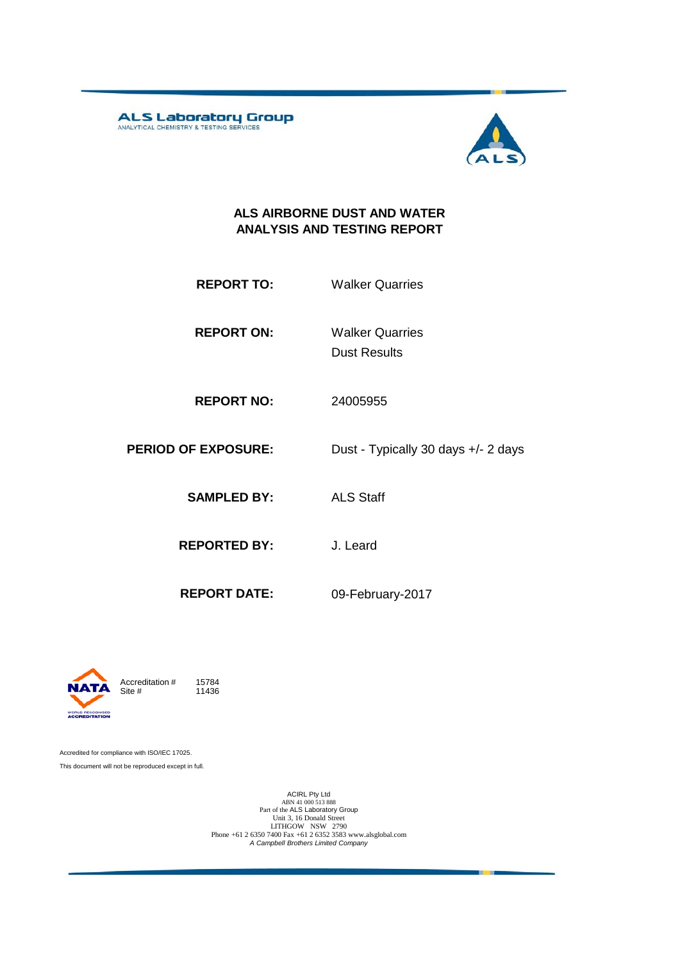**ALS Laboratory Group** 



#### **ALS AIRBORNE DUST AND WATER ANALYSIS AND TESTING REPORT**

- **REPORT TO:** Walker Quarries
- **REPORT ON:** Dust Results Walker Quarries
- **REPORT NO:** 24005955
- **PERIOD OF EXPOSURE:** Dust Typically 30 days +/- 2 days

**SAMPLED BY:** ALS Staff

**REPORTED BY:** J. Leard

**REPORT DATE:** 09-February-2017



11436

Accredited for compliance with ISO/IEC 17025. This document will not be reproduced except in full.

ACIRL Pty Ltd<br>
ABN 41 000 513 888<br>
Part of the ALS Laboratory Group<br>
Unit 3, 16 Donald Street<br>
LITHGOW NSW 2790<br>
Phone +61 2 6350 7400 Fax +61 2 6352 3583 www.alsglobal.com<br> *A Campbell Brothers Limited Company*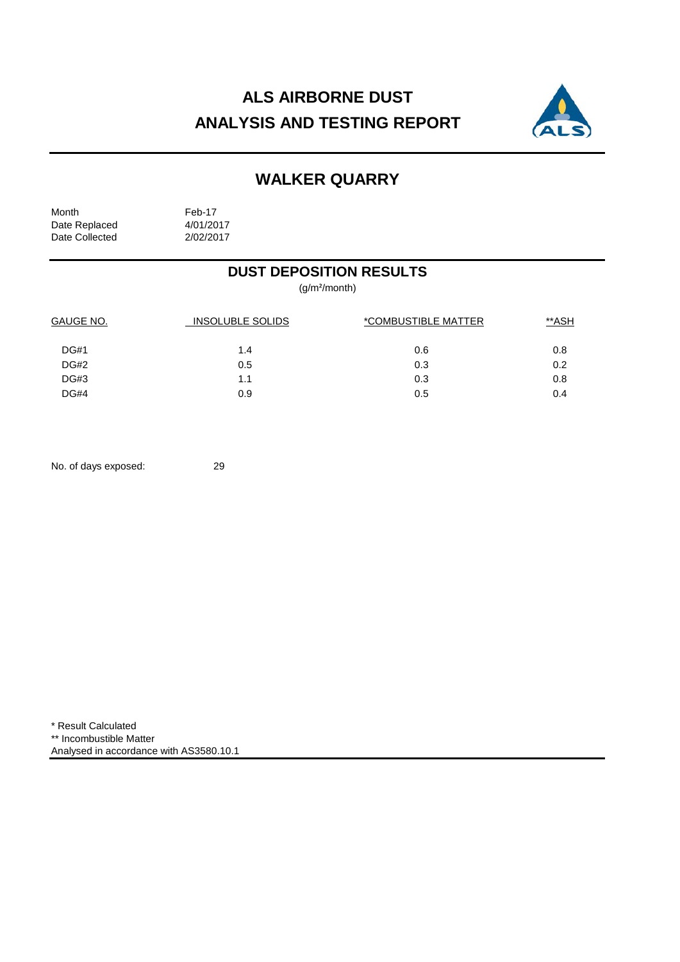# **ALS AIRBORNE DUST ANALYSIS AND TESTING REPORT**



## **WALKER QUARRY**

Month Feb-17<br>Date Replaced 4/01/2017 Date Replaced 4/01/2017<br>Date Collected 2/02/2017 Date Collected

### **DUST DEPOSITION RESULTS**

(g/m²/month)

| GAUGE NO.   | <b>INSOLUBLE SOLIDS</b> | *COMBUSTIBLE MATTER | **ASH |  |
|-------------|-------------------------|---------------------|-------|--|
| <b>DG#1</b> | 1.4                     | 0.6                 | 0.8   |  |
| DG#2        | 0.5                     | 0.3                 | 0.2   |  |
| DG#3        | 1.1                     | 0.3                 | 0.8   |  |
| DG#4        | 0.9                     | 0.5                 | 0.4   |  |

No. of days exposed: 29

\* Result Calculated \*\* Incombustible Matter Analysed in accordance with AS3580.10.1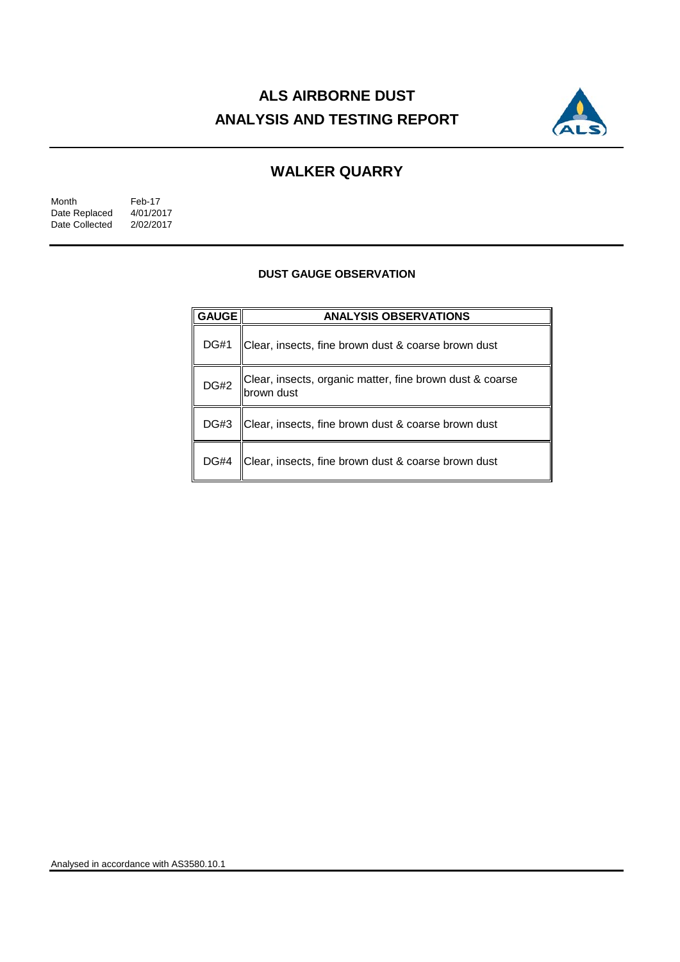# **ALS AIRBORNE DUST ANALYSIS AND TESTING REPORT**



## **WALKER QUARRY**

| Month          | Feb-17    |
|----------------|-----------|
| Date Replaced  | 4/01/2017 |
| Date Collected | 2/02/2017 |

#### **DUST GAUGE OBSERVATION**

| <b>GAUGE</b> | <b>ANALYSIS OBSERVATIONS</b>                                            |  |  |
|--------------|-------------------------------------------------------------------------|--|--|
| <b>DG#1</b>  | Clear, insects, fine brown dust & coarse brown dust                     |  |  |
| <b>DG#2</b>  | Clear, insects, organic matter, fine brown dust & coarse<br> brown dust |  |  |
| DG#3         | Clear, insects, fine brown dust & coarse brown dust                     |  |  |
| <b>DG#4</b>  | Clear, insects, fine brown dust & coarse brown dust                     |  |  |